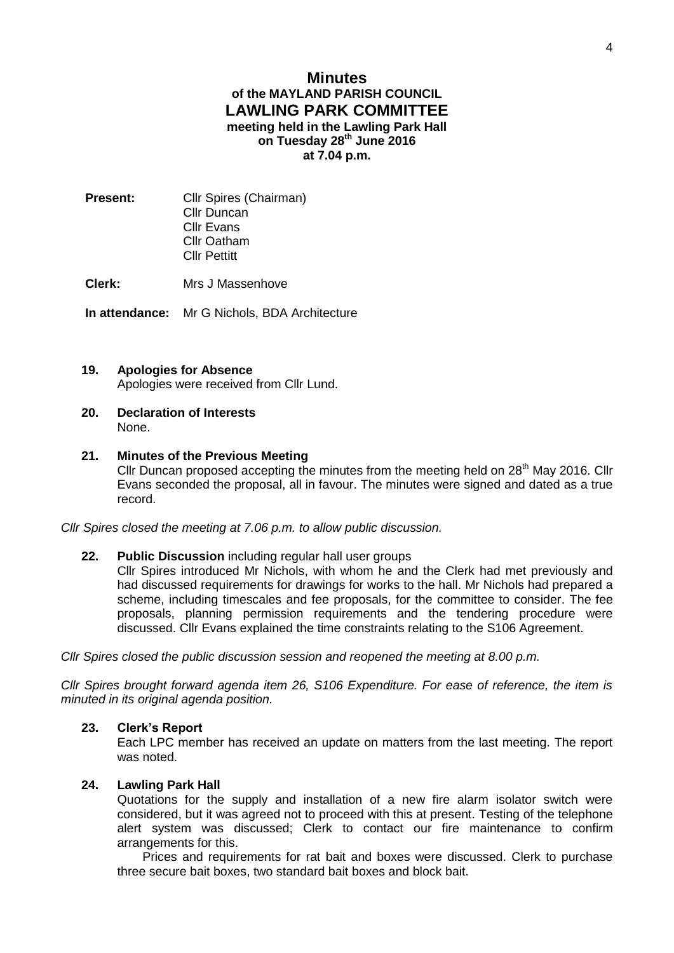# **Minutes of the MAYLAND PARISH COUNCIL LAWLING PARK COMMITTEE meeting held in the Lawling Park Hall on Tuesday 28th June 2016 at 7.04 p.m.**

**Present:** Cllr Spires (Chairman) Cllr Duncan Cllr Evans Cllr Oatham Cllr Pettitt

**Clerk:** Mrs J Massenhove

**In attendance:** Mr G Nichols, BDA Architecture

### **19. Apologies for Absence**

Apologies were received from Cllr Lund.

**20. Declaration of Interests** None.

### **21. Minutes of the Previous Meeting**

Cllr Duncan proposed accepting the minutes from the meeting held on 28<sup>th</sup> May 2016. Cllr Evans seconded the proposal, all in favour. The minutes were signed and dated as a true record.

*Cllr Spires closed the meeting at 7.06 p.m. to allow public discussion.* 

## **22. Public Discussion** including regular hall user groups

Cllr Spires introduced Mr Nichols, with whom he and the Clerk had met previously and had discussed requirements for drawings for works to the hall. Mr Nichols had prepared a scheme, including timescales and fee proposals, for the committee to consider. The fee proposals, planning permission requirements and the tendering procedure were discussed. Cllr Evans explained the time constraints relating to the S106 Agreement.

*Cllr Spires closed the public discussion session and reopened the meeting at 8.00 p.m.*

*Cllr Spires brought forward agenda item 26, S106 Expenditure. For ease of reference, the item is minuted in its original agenda position.*

#### **23. Clerk's Report**

Each LPC member has received an update on matters from the last meeting. The report was noted.

# **24. Lawling Park Hall**

Quotations for the supply and installation of a new fire alarm isolator switch were considered, but it was agreed not to proceed with this at present. Testing of the telephone alert system was discussed; Clerk to contact our fire maintenance to confirm arrangements for this.

Prices and requirements for rat bait and boxes were discussed. Clerk to purchase three secure bait boxes, two standard bait boxes and block bait.